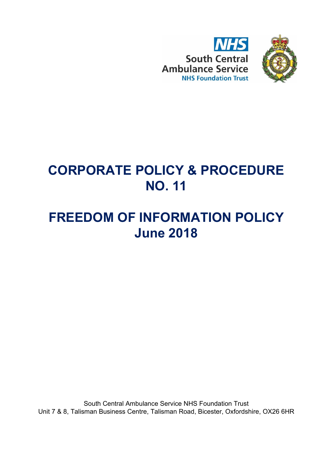



## **CORPORATE POLICY & PROCEDURE NO. 11**

# **FREEDOM OF INFORMATION POLICY June 2018**

South Central Ambulance Service NHS Foundation Trust Unit 7 & 8, Talisman Business Centre, Talisman Road, Bicester, Oxfordshire, OX26 6HR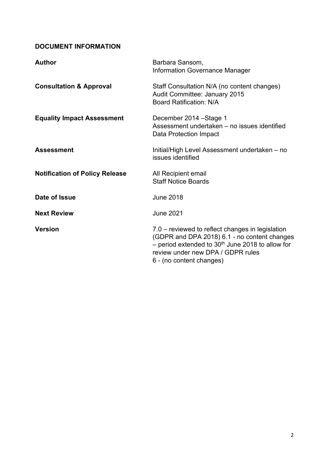## **DOCUMENT INFORMATION**

| <b>Author</b>                         | Barbara Sansom,<br><b>Information Governance Manager</b>                                                                                                                                                                |
|---------------------------------------|-------------------------------------------------------------------------------------------------------------------------------------------------------------------------------------------------------------------------|
| <b>Consultation &amp; Approval</b>    | Staff Consultation N/A (no content changes)<br>Audit Committee: January 2015<br><b>Board Ratification: N/A</b>                                                                                                          |
| <b>Equality Impact Assessment</b>     | December 2014 – Stage 1<br>Assessment undertaken – no issues identified<br>Data Protection Impact                                                                                                                       |
| <b>Assessment</b>                     | Initial/High Level Assessment undertaken – no<br>issues identified                                                                                                                                                      |
| <b>Notification of Policy Release</b> | All Recipient email<br><b>Staff Notice Boards</b>                                                                                                                                                                       |
| Date of Issue                         | <b>June 2018</b>                                                                                                                                                                                                        |
| <b>Next Review</b>                    | <b>June 2021</b>                                                                                                                                                                                                        |
| <b>Version</b>                        | 7.0 – reviewed to reflect changes in legislation<br>(GDPR and DPA 2018) 6.1 - no content changes<br>- period extended to $30th$ June 2018 to allow for<br>review under new DPA / GDPR rules<br>6 - (no content changes) |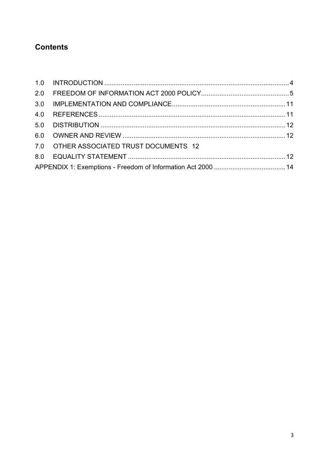## **Contents**

| 7.0 OTHER ASSOCIATED TRUST DOCUMENTS 12 |  |
|-----------------------------------------|--|
|                                         |  |
|                                         |  |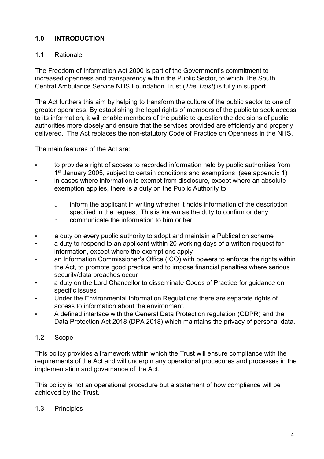## <span id="page-3-0"></span>**1.0 INTRODUCTION**

## 1.1 Rationale

The Freedom of Information Act 2000 is part of the Government's commitment to increased openness and transparency within the Public Sector, to which The South Central Ambulance Service NHS Foundation Trust (*The Trust*) is fully in support.

The Act furthers this aim by helping to transform the culture of the public sector to one of greater openness. By establishing the legal rights of members of the public to seek access to its information, it will enable members of the public to question the decisions of public authorities more closely and ensure that the services provided are efficiently and properly delivered. The Act replaces the non-statutory Code of Practice on Openness in the NHS.

The main features of the Act are:

- to provide a right of access to recorded information held by public authorities from 1<sup>st</sup> January 2005, subject to certain conditions and exemptions (see appendix 1)
- in cases where information is exempt from disclosure, except where an absolute exemption applies, there is a duty on the Public Authority to
	- o inform the applicant in writing whether it holds information of the description specified in the request. This is known as the duty to confirm or deny
	- o communicate the information to him or her
- a duty on every public authority to adopt and maintain a Publication scheme
- a duty to respond to an applicant within 20 working days of a written request for information, except where the exemptions apply
- an Information Commissioner's Office (ICO) with powers to enforce the rights within the Act, to promote good practice and to impose financial penalties where serious security/data breaches occur
- a duty on the Lord Chancellor to disseminate Codes of Practice for guidance on specific issues
- Under the Environmental Information Regulations there are separate rights of access to information about the environment.
- A defined interface with the General Data Protection regulation (GDPR) and the Data Protection Act 2018 (DPA 2018) which maintains the privacy of personal data.

#### 1.2 Scope

This policy provides a framework within which the Trust will ensure compliance with the requirements of the Act and will underpin any operational procedures and processes in the implementation and governance of the Act.

This policy is not an operational procedure but a statement of how compliance will be achieved by the Trust.

#### 1.3 Principles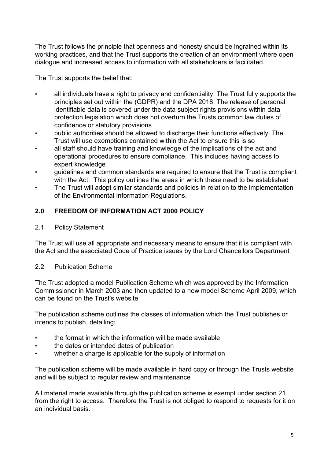The Trust follows the principle that openness and honesty should be ingrained within its working practices, and that the Trust supports the creation of an environment where open dialogue and increased access to information with all stakeholders is facilitated.

The Trust supports the belief that:

- all individuals have a right to privacy and confidentiality. The Trust fully supports the principles set out within the (GDPR) and the DPA 2018. The release of personal identifiable data is covered under the data subject rights provisions within data protection legislation which does not overturn the Trusts common law duties of confidence or statutory provisions
- public authorities should be allowed to discharge their functions effectively. The Trust will use exemptions contained within the Act to ensure this is so
- all staff should have training and knowledge of the implications of the act and operational procedures to ensure compliance. This includes having access to expert knowledge
- guidelines and common standards are required to ensure that the Trust is compliant with the Act. This policy outlines the areas in which these need to be established
- The Trust will adopt similar standards and policies in relation to the implementation of the Environmental Information Regulations.

## <span id="page-4-0"></span>**2.0 FREEDOM OF INFORMATION ACT 2000 POLICY**

2.1 Policy Statement

The Trust will use all appropriate and necessary means to ensure that it is compliant with the Act and the associated Code of Practice issues by the Lord Chancellors Department

#### 2.2 Publication Scheme

The Trust adopted a model Publication Scheme which was approved by the Information Commissioner in March 2003 and then updated to a new model Scheme April 2009, which can be found on the Trust's website

The publication scheme outlines the classes of information which the Trust publishes or intends to publish, detailing:

- the format in which the information will be made available
- the dates or intended dates of publication
- whether a charge is applicable for the supply of information

The publication scheme will be made available in hard copy or through the Trusts website and will be subject to regular review and maintenance

All material made available through the publication scheme is exempt under section 21 from the right to access. Therefore the Trust is not obliged to respond to requests for it on an individual basis.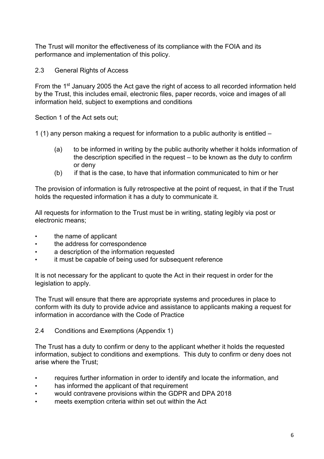The Trust will monitor the effectiveness of its compliance with the FOIA and its performance and implementation of this policy.

2.3 General Rights of Access

From the 1<sup>st</sup> January 2005 the Act gave the right of access to all recorded information held by the Trust, this includes email, electronic files, paper records, voice and images of all information held, subject to exemptions and conditions

Section 1 of the Act sets out;

1 (1) any person making a request for information to a public authority is entitled –

- (a) to be informed in writing by the public authority whether it holds information of the description specified in the request – to be known as the duty to confirm or deny
- (b) if that is the case, to have that information communicated to him or her

The provision of information is fully retrospective at the point of request, in that if the Trust holds the requested information it has a duty to communicate it.

All requests for information to the Trust must be in writing, stating legibly via post or electronic means;

- the name of applicant
- the address for correspondence
- a description of the information requested
- it must be capable of being used for subsequent reference

It is not necessary for the applicant to quote the Act in their request in order for the legislation to apply.

The Trust will ensure that there are appropriate systems and procedures in place to conform with its duty to provide advice and assistance to applicants making a request for information in accordance with the Code of Practice

2.4 Conditions and Exemptions (Appendix 1)

The Trust has a duty to confirm or deny to the applicant whether it holds the requested information, subject to conditions and exemptions. This duty to confirm or deny does not arise where the Trust;

- requires further information in order to identify and locate the information, and
- has informed the applicant of that requirement
- would contravene provisions within the GDPR and DPA 2018
- meets exemption criteria within set out within the Act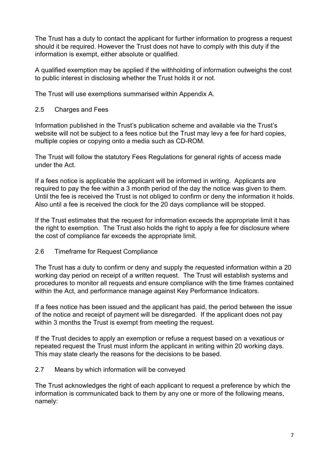The Trust has a duty to contact the applicant for further information to progress a request should it be required. However the Trust does not have to comply with this duty if the information is exempt, either absolute or qualified.

A qualified exemption may be applied if the withholding of information outweighs the cost to public interest in disclosing whether the Trust holds it or not.

The Trust will use exemptions summarised within Appendix A.

#### 2.5 Charges and Fees

Information published in the Trust's publication scheme and available via the Trust's website will not be subject to a fees notice but the Trust may levy a fee for hard copies, multiple copies or copying onto a media such as CD-ROM.

The Trust will follow the statutory Fees Regulations for general rights of access made under the Act.

If a fees notice is applicable the applicant will be informed in writing. Applicants are required to pay the fee within a 3 month period of the day the notice was given to them. Until the fee is received the Trust is not obliged to confirm or deny the information it holds. Also until a fee is received the clock for the 20 days compliance will be stopped.

If the Trust estimates that the request for information exceeds the appropriate limit it has the right to exemption. The Trust also holds the right to apply a fee for disclosure where the cost of compliance far exceeds the appropriate limit.

2.6 Timeframe for Request Compliance

The Trust has a duty to confirm or deny and supply the requested information within a 20 working day period on receipt of a written request. The Trust will establish systems and procedures to monitor all requests and ensure compliance with the time frames contained within the Act, and performance manage against Key Performance Indicators.

If a fees notice has been issued and the applicant has paid, the period between the issue of the notice and receipt of payment will be disregarded. If the applicant does not pay within 3 months the Trust is exempt from meeting the request.

If the Trust decides to apply an exemption or refuse a request based on a vexatious or repeated request the Trust must inform the applicant in writing within 20 working days. This may state clearly the reasons for the decisions to be based.

#### 2.7 Means by which information will be conveyed

The Trust acknowledges the right of each applicant to request a preference by which the information is communicated back to them by any one or more of the following means, namely: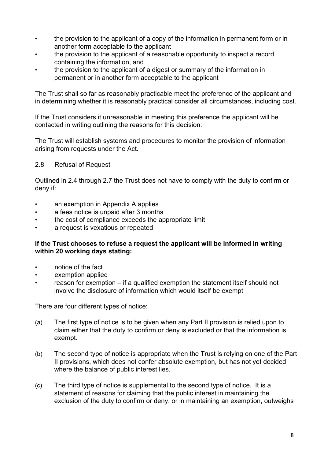- the provision to the applicant of a copy of the information in permanent form or in another form acceptable to the applicant
- the provision to the applicant of a reasonable opportunity to inspect a record containing the information, and
- the provision to the applicant of a digest or summary of the information in permanent or in another form acceptable to the applicant

The Trust shall so far as reasonably practicable meet the preference of the applicant and in determining whether it is reasonably practical consider all circumstances, including cost.

If the Trust considers it unreasonable in meeting this preference the applicant will be contacted in writing outlining the reasons for this decision.

The Trust will establish systems and procedures to monitor the provision of information arising from requests under the Act.

#### 2.8 Refusal of Request

Outlined in 2.4 through 2.7 the Trust does not have to comply with the duty to confirm or deny if:

- an exemption in Appendix A applies
- a fees notice is unpaid after 3 months
- the cost of compliance exceeds the appropriate limit
- a request is vexatious or repeated

#### **If the Trust chooses to refuse a request the applicant will be informed in writing within 20 working days stating:**

- notice of the fact
- exemption applied
- reason for exemption if a qualified exemption the statement itself should not involve the disclosure of information which would itself be exempt

There are four different types of notice:

- (a) The first type of notice is to be given when any Part II provision is relied upon to claim either that the duty to confirm or deny is excluded or that the information is exempt.
- (b) The second type of notice is appropriate when the Trust is relying on one of the Part II provisions, which does not confer absolute exemption, but has not yet decided where the balance of public interest lies.
- (c) The third type of notice is supplemental to the second type of notice. It is a statement of reasons for claiming that the public interest in maintaining the exclusion of the duty to confirm or deny, or in maintaining an exemption, outweighs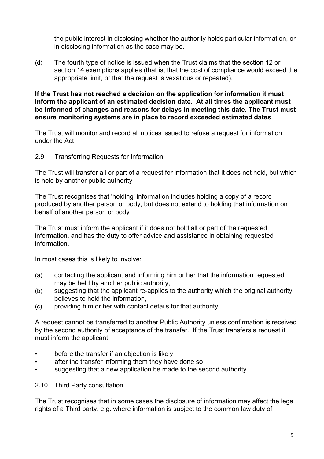the public interest in disclosing whether the authority holds particular information, or in disclosing information as the case may be.

(d) The fourth type of notice is issued when the Trust claims that the section 12 or section 14 exemptions applies (that is, that the cost of compliance would exceed the appropriate limit, or that the request is vexatious or repeated).

**If the Trust has not reached a decision on the application for information it must inform the applicant of an estimated decision date. At all times the applicant must be informed of changes and reasons for delays in meeting this date. The Trust must ensure monitoring systems are in place to record exceeded estimated dates** 

The Trust will monitor and record all notices issued to refuse a request for information under the Act

2.9 Transferring Requests for Information

The Trust will transfer all or part of a request for information that it does not hold, but which is held by another public authority

The Trust recognises that 'holding' information includes holding a copy of a record produced by another person or body, but does not extend to holding that information on behalf of another person or body

The Trust must inform the applicant if it does not hold all or part of the requested information, and has the duty to offer advice and assistance in obtaining requested information.

In most cases this is likely to involve:

- (a) contacting the applicant and informing him or her that the information requested may be held by another public authority,
- (b) suggesting that the applicant re-applies to the authority which the original authority believes to hold the information,
- (c) providing him or her with contact details for that authority.

A request cannot be transferred to another Public Authority unless confirmation is received by the second authority of acceptance of the transfer. If the Trust transfers a request it must inform the applicant;

- before the transfer if an objection is likely
- after the transfer informing them they have done so
- suggesting that a new application be made to the second authority
- 2.10 Third Party consultation

The Trust recognises that in some cases the disclosure of information may affect the legal rights of a Third party, e.g. where information is subject to the common law duty of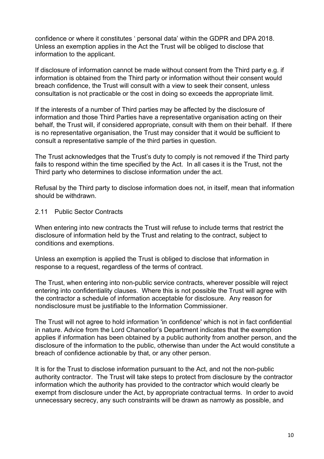confidence or where it constitutes ' personal data' within the GDPR and DPA 2018. Unless an exemption applies in the Act the Trust will be obliged to disclose that information to the applicant.

If disclosure of information cannot be made without consent from the Third party e.g. if information is obtained from the Third party or information without their consent would breach confidence, the Trust will consult with a view to seek their consent, unless consultation is not practicable or the cost in doing so exceeds the appropriate limit.

If the interests of a number of Third parties may be affected by the disclosure of information and those Third Parties have a representative organisation acting on their behalf, the Trust will, if considered appropriate, consult with them on their behalf. If there is no representative organisation, the Trust may consider that it would be sufficient to consult a representative sample of the third parties in question.

The Trust acknowledges that the Trust's duty to comply is not removed if the Third party fails to respond within the time specified by the Act. In all cases it is the Trust, not the Third party who determines to disclose information under the act.

Refusal by the Third party to disclose information does not, in itself, mean that information should be withdrawn.

#### 2.11 Public Sector Contracts

When entering into new contracts the Trust will refuse to include terms that restrict the disclosure of information held by the Trust and relating to the contract, subject to conditions and exemptions.

Unless an exemption is applied the Trust is obliged to disclose that information in response to a request, regardless of the terms of contract.

The Trust, when entering into non-public service contracts, wherever possible will reject entering into confidentiality clauses. Where this is not possible the Trust will agree with the contractor a schedule of information acceptable for disclosure. Any reason for nondisclosure must be justifiable to the Information Commissioner.

The Trust will not agree to hold information 'in confidence' which is not in fact confidential in nature. Advice from the Lord Chancellor's Department indicates that the exemption applies if information has been obtained by a public authority from another person, and the disclosure of the information to the public, otherwise than under the Act would constitute a breach of confidence actionable by that, or any other person.

It is for the Trust to disclose information pursuant to the Act, and not the non-public authority contractor. The Trust will take steps to protect from disclosure by the contractor information which the authority has provided to the contractor which would clearly be exempt from disclosure under the Act, by appropriate contractual terms. In order to avoid unnecessary secrecy, any such constraints will be drawn as narrowly as possible, and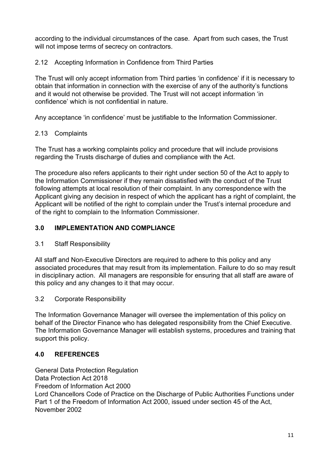according to the individual circumstances of the case. Apart from such cases, the Trust will not impose terms of secrecy on contractors.

### 2.12 Accepting Information in Confidence from Third Parties

The Trust will only accept information from Third parties 'in confidence' if it is necessary to obtain that information in connection with the exercise of any of the authority's functions and it would not otherwise be provided. The Trust will not accept information 'in confidence' which is not confidential in nature.

Any acceptance 'in confidence' must be justifiable to the Information Commissioner.

### 2.13 Complaints

The Trust has a working complaints policy and procedure that will include provisions regarding the Trusts discharge of duties and compliance with the Act.

The procedure also refers applicants to their right under section 50 of the Act to apply to the Information Commissioner if they remain dissatisfied with the conduct of the Trust following attempts at local resolution of their complaint. In any correspondence with the Applicant giving any decision in respect of which the applicant has a right of complaint, the Applicant will be notified of the right to complain under the Trust's internal procedure and of the right to complain to the Information Commissioner.

#### <span id="page-10-0"></span>**3.0 IMPLEMENTATION AND COMPLIANCE**

3.1 Staff Responsibility

All staff and Non-Executive Directors are required to adhere to this policy and any associated procedures that may result from its implementation. Failure to do so may result in disciplinary action. All managers are responsible for ensuring that all staff are aware of this policy and any changes to it that may occur.

3.2 Corporate Responsibility

The Information Governance Manager will oversee the implementation of this policy on behalf of the Director Finance who has delegated responsibility from the Chief Executive. The Information Governance Manager will establish systems, procedures and training that support this policy.

## <span id="page-10-1"></span>**4.0 REFERENCES**

General Data Protection Regulation

Data Protection Act 2018

Freedom of Information Act 2000

Lord Chancellors Code of Practice on the Discharge of Public Authorities Functions under Part 1 of the Freedom of Information Act 2000, issued under section 45 of the Act, November 2002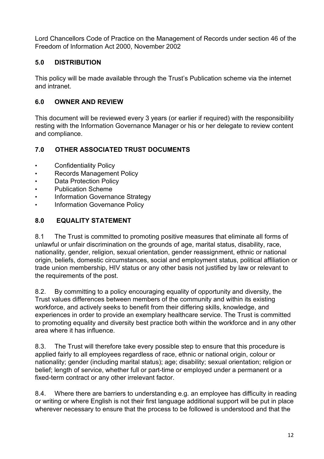Lord Chancellors Code of Practice on the Management of Records under section 46 of the Freedom of Information Act 2000, November 2002

## <span id="page-11-0"></span>**5.0 DISTRIBUTION**

This policy will be made available through the Trust's Publication scheme via the internet and intranet.

## <span id="page-11-1"></span>**6.0 OWNER AND REVIEW**

This document will be reviewed every 3 years (or earlier if required) with the responsibility resting with the Information Governance Manager or his or her delegate to review content and compliance.

## <span id="page-11-2"></span>**7.0 OTHER ASSOCIATED TRUST DOCUMENTS**

- Confidentiality Policy
- Records Management Policy
- Data Protection Policy
- Publication Scheme
- Information Governance Strategy
- Information Governance Policy

## <span id="page-11-3"></span>**8.0 EQUALITY STATEMENT**

8.1 The Trust is committed to promoting positive measures that eliminate all forms of unlawful or unfair discrimination on the grounds of age, marital status, disability, race, nationality, gender, religion, sexual orientation, gender reassignment, ethnic or national origin, beliefs, domestic circumstances, social and employment status, political affiliation or trade union membership, HIV status or any other basis not justified by law or relevant to the requirements of the post.

8.2. By committing to a policy encouraging equality of opportunity and diversity, the Trust values differences between members of the community and within its existing workforce, and actively seeks to benefit from their differing skills, knowledge, and experiences in order to provide an exemplary healthcare service. The Trust is committed to promoting equality and diversity best practice both within the workforce and in any other area where it has influence.

8.3. The Trust will therefore take every possible step to ensure that this procedure is applied fairly to all employees regardless of race, ethnic or national origin, colour or nationality; gender (including marital status); age; disability; sexual orientation; religion or belief; length of service, whether full or part-time or employed under a permanent or a fixed-term contract or any other irrelevant factor.

8.4. Where there are barriers to understanding e.g. an employee has difficulty in reading or writing or where English is not their first language additional support will be put in place wherever necessary to ensure that the process to be followed is understood and that the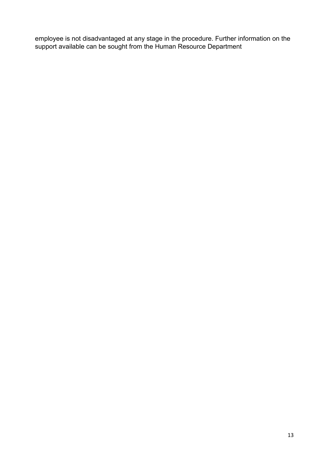employee is not disadvantaged at any stage in the procedure. Further information on the support available can be sought from the Human Resource Department